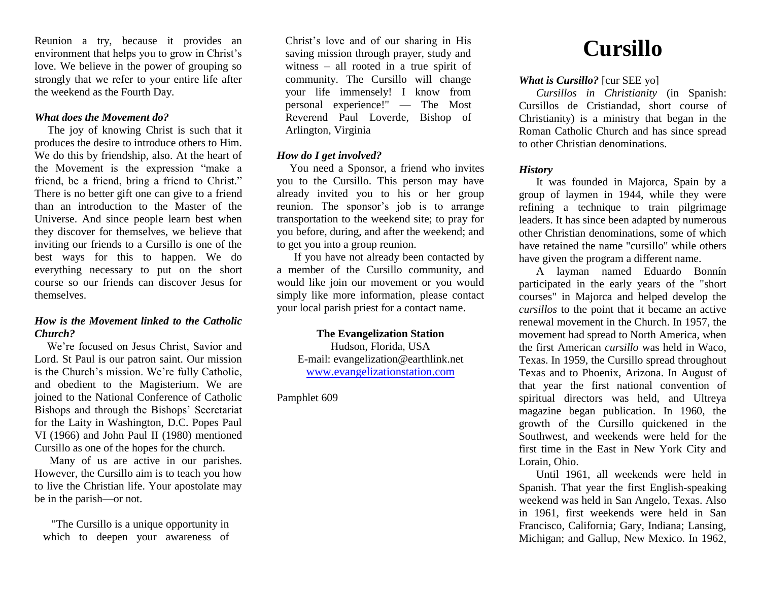Reunion a try, because it provides an environment that helps you to grow in Christ's love. We believe in the power of grouping so strongly that we refer to your entire life after the weekend as the Fourth Day.

#### *What does the Movement do?*

 The joy of knowing Christ is such that it produces the desire to introduce others to Him. We do this by friendship, also. At the heart of the Movement is the expression "make a friend, be a friend, bring a friend to Christ." There is no better gift one can give to a friend than an introduction to the Master of the Universe. And since people learn best when they discover for themselves, we believe that inviting our friends to a Cursillo is one of the best ways for this to happen. We do everything necessary to put on the short course so our friends can discover Jesus for themselves.

## *How is the Movement linked to the Catholic Church?*

 We're focused on Jesus Christ, Savior and Lord. St Paul is our patron saint. Our mission is the Church's mission. We're fully Catholic, and obedient to the Magisterium. We are joined to the National Conference of Catholic Bishops and through the Bishops' Secretariat for the Laity in Washington, D.C. Popes Paul VI (1966) and John Paul II (1980) mentioned Cursillo as one of the hopes for the church.

 Many of us are active in our parishes. However, the Cursillo aim is to teach you how to live the Christian life. Your apostolate may be in the parish—or not.

 "The Cursillo is a unique opportunity in which to deepen your awareness of Christ's love and of our sharing in His saving mission through prayer, study and witness – all rooted in a true spirit of community. The Cursillo will change your life immensely! I know from personal experience!" — The Most Reverend Paul Loverde, Bishop of Arlington, Virginia

## *How do I get involved?*

 You need a Sponsor, a friend who invites you to the Cursillo. This person may have already invited you to his or her group reunion. The sponsor's job is to arrange transportation to the weekend site; to pray for you before, during, and after the weekend; and to get you into a group reunion.

If you have not already been contacted by a member of the Cursillo community, and would like join our movement or you would simply like more information, please contact your local parish priest for a contact name.

**The Evangelization Station** Hudson, Florida, USA E-mail: evangelization@earthlink.net [www.evangelizationstation.com](http://www.pjpiisoe.org/)

Pamphlet 609

# **Cursillo**

## *What is Cursillo?* [cur SEE yo]

*Cursillos in Christianity* (in Spanish: Cursillos de Cristiandad, short course of Christianity) is a ministry that began in the Roman Catholic Church and has since spread to other Christian denominations.

## *History*

It was founded in Majorca, Spain by a group of laymen in 1944, while they were refining a technique to train pilgrimage leaders. It has since been adapted by numerous other Christian denominations, some of which have retained the name "cursillo" while others have given the program a different name.

A layman named Eduardo Bonnín participated in the early years of the "short courses" in Majorca and helped develop the *cursillos* to the point that it became an active renewal movement in the Church. In 1957, the movement had spread to North America, when the first American *cursillo* was held in Waco, Texas. In 1959, the Cursillo spread throughout Texas and to Phoenix, Arizona. In August of that year the first national convention of spiritual directors was held, and Ultreya magazine began publication. In 1960, the growth of the Cursillo quickened in the Southwest, and weekends were held for the first time in the East in New York City and Lorain, Ohio.

Until 1961, all weekends were held in Spanish. That year the first English-speaking weekend was held in San Angelo, Texas. Also in 1961, first weekends were held in San Francisco, California; Gary, Indiana; Lansing, Michigan; and Gallup, New Mexico. In 1962,